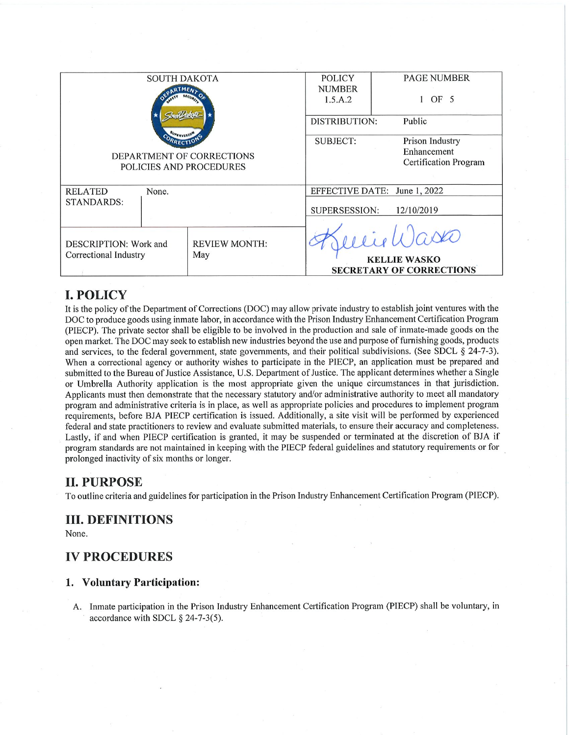|                                                                               | <b>SOUTH DAKOTA</b> |               | <b>POLICY</b>   | <b>PAGE NUMBER</b>              |  |  |
|-------------------------------------------------------------------------------|---------------------|---------------|-----------------|---------------------------------|--|--|
|                                                                               |                     |               | <b>NUMBER</b>   |                                 |  |  |
|                                                                               |                     |               | 1.5.A.2         | OF 5                            |  |  |
|                                                                               |                     |               |                 |                                 |  |  |
|                                                                               |                     | DISTRIBUTION: | Public          |                                 |  |  |
|                                                                               |                     |               |                 |                                 |  |  |
|                                                                               |                     |               | <b>SUBJECT:</b> | Prison Industry                 |  |  |
| DEPARTMENT OF CORRECTIONS<br>POLICIES AND PROCEDURES                          |                     |               |                 | Enhancement                     |  |  |
|                                                                               |                     |               |                 | <b>Certification Program</b>    |  |  |
|                                                                               |                     |               |                 |                                 |  |  |
| <b>RELATED</b><br>None.                                                       |                     |               |                 | EFFECTIVE DATE: June 1, 2022    |  |  |
| <b>STANDARDS:</b>                                                             |                     |               |                 |                                 |  |  |
|                                                                               |                     |               |                 | SUPERSESSION:<br>12/10/2019     |  |  |
|                                                                               |                     |               |                 |                                 |  |  |
|                                                                               |                     |               |                 | $i \cdot l \cdot l$ asko        |  |  |
| <b>REVIEW MONTH:</b><br>DESCRIPTION: Work and<br>Correctional Industry<br>May |                     |               |                 |                                 |  |  |
|                                                                               |                     |               |                 | <b>KELLIE WASKO</b>             |  |  |
|                                                                               |                     |               |                 | <b>SECRETARY OF CORRECTIONS</b> |  |  |
|                                                                               |                     |               |                 |                                 |  |  |

## **I. POLICY**

It is the policy of the Department of Corrections (DOC) may allow private industry to establish joint ventures with the DOC to produce goods using inmate labor, in accordance with the Prison Industry Enhancement Certification Program (PIECP). The private sector shall be eligible to be involved in the production and sale of inmate-made goods on the open market. The DOC may seek to establish new industries beyond the use and purpose of furnishing goods, products and services, to the federal government, state governments, and their political subdivisions. (See SDCL  $\S$  24-7-3). When a correctional agency or authority wishes to participate in the PIECP, an application must be prepared and submitted to the Bureau of Justice Assistance, U.S. Department of Justice. The applicant determines whether a Single or Umbrella Authority application is the most appropriate given the unique circumstances in that jurisdiction. Applicants must then demonstrate that the necessary statutory and/or administrative authority to meet all mandatory program and administrative criteria is in place, as well as appropriate policies and procedures to implement program requirements, before BJA PIECP certification is issued. Additionally, a site visit will be performed by experienced federal and state practitioners to review and evaluate submitted materials, to ensure their accuracy and completeness. Lastly, if and when PIECP certification is granted, it may be suspended or terminated at the discretion of BJA if program standards are not maintained in keeping with the PIECP federal guidelines and statutory requirements or for prolonged inactivity of six months or longer.

### **II. PURPOSE**

To outline criteria and guidelines for participation in the Prison Industry Enhancement Certification Program (PIECP).

### **III. DEFINITIONS**

None.

### **IV PROCEDURES**

#### 1. Voluntary Participation:

A. Inmate participation in the Prison Industry Enhancement Certification Program (PIECP) shall be voluntary, in accordance with SDCL  $\S$  24-7-3(5).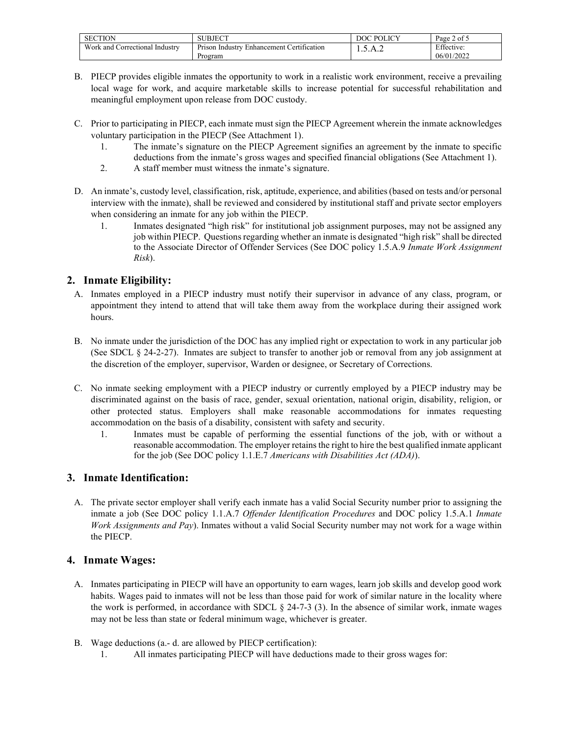| <b>SECTION</b>                           | UBJECT<br>ں ت                                                              | $\cup$ POLICV<br>DOC | $\sim$ $\sim$<br>Page<br>of 5 |
|------------------------------------------|----------------------------------------------------------------------------|----------------------|-------------------------------|
| Work and C<br>. Industry<br>Correctional | $\sim$ $\sim$<br>ertification_<br>Enhancement<br>Industry<br><b>Prison</b> | 1.7.1.4              | Effective:                    |
|                                          | Program                                                                    |                      | 06/01/2022                    |

- B. PIECP provides eligible inmates the opportunity to work in a realistic work environment, receive a prevailing local wage for work, and acquire marketable skills to increase potential for successful rehabilitation and meaningful employment upon release from DOC custody.
- C. Prior to participating in PIECP, each inmate must sign the PIECP Agreement wherein the inmate acknowledges voluntary participation in the PIECP (See Attachment 1).
	- 1. The inmate's signature on the PIECP Agreement signifies an agreement by the inmate to specific deductions from the inmate's gross wages and specified financial obligations (See Attachment 1).
	- 2. A staff member must witness the inmate's signature.
- D. An inmate's, custody level, classification, risk, aptitude, experience, and abilities (based on tests and/or personal interview with the inmate), shall be reviewed and considered by institutional staff and private sector employers when considering an inmate for any job within the PIECP.
	- 1. Inmates designated "high risk" for institutional job assignment purposes, may not be assigned any job within PIECP. Questions regarding whether an inmate is designated "high risk" shall be directed to the Associate Director of Offender Services (See DOC policy 1.5.A.9 *Inmate Work Assignment Risk*).

### **2. Inmate Eligibility:**

- A. Inmates employed in a PIECP industry must notify their supervisor in advance of any class, program, or appointment they intend to attend that will take them away from the workplace during their assigned work hours.
- B. No inmate under the jurisdiction of the DOC has any implied right or expectation to work in any particular job (See SDCL § 24-2-27). Inmates are subject to transfer to another job or removal from any job assignment at the discretion of the employer, supervisor, Warden or designee, or Secretary of Corrections.
- C. No inmate seeking employment with a PIECP industry or currently employed by a PIECP industry may be discriminated against on the basis of race, gender, sexual orientation, national origin, disability, religion, or other protected status. Employers shall make reasonable accommodations for inmates requesting accommodation on the basis of a disability, consistent with safety and security.
	- 1. Inmates must be capable of performing the essential functions of the job, with or without a reasonable accommodation. The employer retains the right to hire the best qualified inmate applicant for the job (See DOC policy 1.1.E.7 *Americans with Disabilities Act (ADA)*).

#### **3. Inmate Identification:**

A. The private sector employer shall verify each inmate has a valid Social Security number prior to assigning the inmate a job (See DOC policy 1.1.A.7 *Offender Identification Procedures* and DOC policy 1.5.A.1 *Inmate Work Assignments and Pay*). Inmates without a valid Social Security number may not work for a wage within the PIECP.

#### **4. Inmate Wages:**

- A. Inmates participating in PIECP will have an opportunity to earn wages, learn job skills and develop good work habits. Wages paid to inmates will not be less than those paid for work of similar nature in the locality where the work is performed, in accordance with SDCL  $\S$  24-7-3 (3). In the absence of similar work, inmate wages may not be less than state or federal minimum wage, whichever is greater.
- B. Wage deductions (a.- d. are allowed by PIECP certification):
	- 1. All inmates participating PIECP will have deductions made to their gross wages for: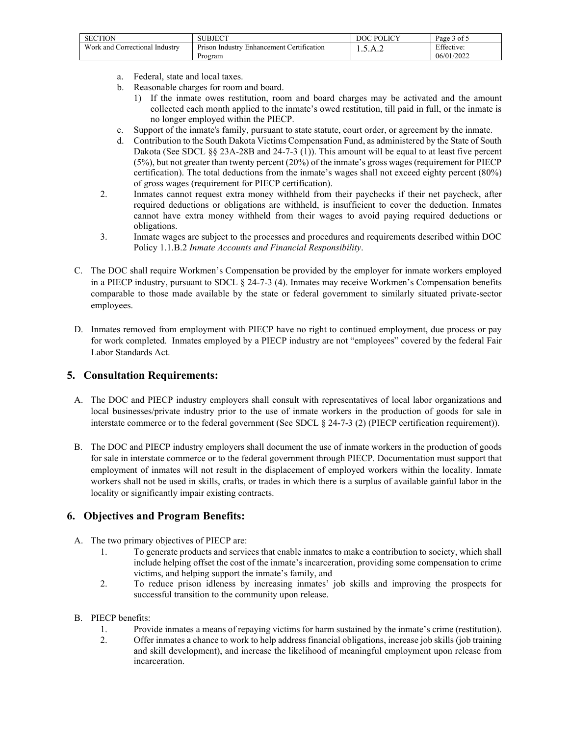| <b>SECTION</b>                      | BJECT<br>າເ.                                                    | $\bigcup$ POLICV<br>DOC | $\sim$ $\sim$<br>Page.<br>ot 5 |
|-------------------------------------|-----------------------------------------------------------------|-------------------------|--------------------------------|
| Work and<br>l Correctional Industry | $\sim$ $\sim$<br>Prison<br>i Industry Enhancement Certification | 1.7.1.4                 | Effective:                     |
|                                     | Program                                                         |                         | 06/01/2022                     |

- a. Federal, state and local taxes.
- b. Reasonable charges for room and board.
	- 1) If the inmate owes restitution, room and board charges may be activated and the amount collected each month applied to the inmate's owed restitution, till paid in full, or the inmate is no longer employed within the PIECP.
- c. Support of the inmate's family, pursuant to state statute, court order, or agreement by the inmate.
- d. Contribution to the South Dakota Victims Compensation Fund, as administered by the State of South Dakota (See SDCL §§ 23A-28B and 24-7-3 (1)). This amount will be equal to at least five percent (5%), but not greater than twenty percent (20%) of the inmate's gross wages (requirement for PIECP certification). The total deductions from the inmate's wages shall not exceed eighty percent (80%) of gross wages (requirement for PIECP certification).
- 2. Inmates cannot request extra money withheld from their paychecks if their net paycheck, after required deductions or obligations are withheld, is insufficient to cover the deduction. Inmates cannot have extra money withheld from their wages to avoid paying required deductions or obligations.
- 3. Inmate wages are subject to the processes and procedures and requirements described within DOC Policy 1.1.B.2 *Inmate Accounts and Financial Responsibility*.
- C. The DOC shall require Workmen's Compensation be provided by the employer for inmate workers employed in a PIECP industry, pursuant to SDCL § 24-7-3 (4). Inmates may receive Workmen's Compensation benefits comparable to those made available by the state or federal government to similarly situated private-sector employees.
- D. Inmates removed from employment with PIECP have no right to continued employment, due process or pay for work completed. Inmates employed by a PIECP industry are not "employees" covered by the federal Fair Labor Standards Act.

#### **5. Consultation Requirements:**

- A. The DOC and PIECP industry employers shall consult with representatives of local labor organizations and local businesses/private industry prior to the use of inmate workers in the production of goods for sale in interstate commerce or to the federal government (See SDCL § 24-7-3 (2) (PIECP certification requirement)).
- B. The DOC and PIECP industry employers shall document the use of inmate workers in the production of goods for sale in interstate commerce or to the federal government through PIECP. Documentation must support that employment of inmates will not result in the displacement of employed workers within the locality. Inmate workers shall not be used in skills, crafts, or trades in which there is a surplus of available gainful labor in the locality or significantly impair existing contracts.

#### **6. Objectives and Program Benefits:**

- A. The two primary objectives of PIECP are:
	- 1. To generate products and services that enable inmates to make a contribution to society, which shall include helping offset the cost of the inmate's incarceration, providing some compensation to crime victims, and helping support the inmate's family, and
	- 2. To reduce prison idleness by increasing inmates' job skills and improving the prospects for successful transition to the community upon release.
- B. PIECP benefits:
	- 1. Provide inmates a means of repaying victims for harm sustained by the inmate's crime (restitution).
	- 2. Offer inmates a chance to work to help address financial obligations, increase job skills (job training and skill development), and increase the likelihood of meaningful employment upon release from incarceration.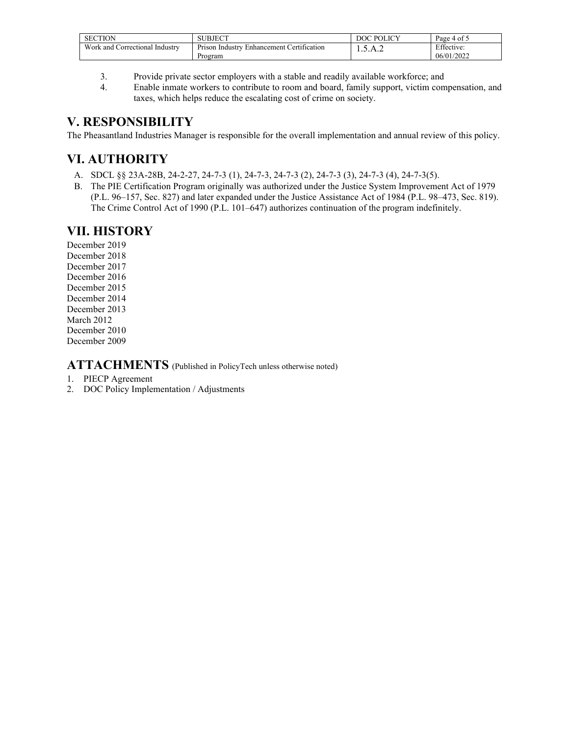| <b>SECTION</b>                               | <b>SUBJECT</b>                                              | <b>POLICY</b><br>DOC | Page 4 of 5 |
|----------------------------------------------|-------------------------------------------------------------|----------------------|-------------|
| Work and <b>v</b><br>l Correctional Industry | $\sim$<br>Prison Industry<br>: Certification<br>Enhancement | . <b>. .</b>         | Effective:  |
|                                              | Program                                                     |                      | 06/01/2022  |

- 3. Provide private sector employers with a stable and readily available workforce; and
- 4. Enable inmate workers to contribute to room and board, family support, victim compensation, and taxes, which helps reduce the escalating cost of crime on society.

## **V. RESPONSIBILITY**

The Pheasantland Industries Manager is responsible for the overall implementation and annual review of this policy.

# **VI. AUTHORITY**

- A. SDCL §§ 23A-28B, 24-2-27, 24-7-3 (1), 24-7-3, 24-7-3 (2), 24-7-3 (3), 24-7-3 (4), 24-7-3(5).
- B. The PIE Certification Program originally was authorized under the Justice System Improvement Act of 1979 (P.L. 96–157, Sec. 827) and later expanded under the Justice Assistance Act of 1984 (P.L. 98–473, Sec. 819). The Crime Control Act of 1990 (P.L. 101–647) authorizes continuation of the program indefinitely.

## **VII. HISTORY**

December 2019 December 2018 December 2017 December 2016 December 2015 December 2014 December 2013 March 2012 December 2010 December 2009

### **ATTACHMENTS** (Published in PolicyTech unless otherwise noted)

- 1. PIECP Agreement
- 2. DOC Policy Implementation / Adjustments